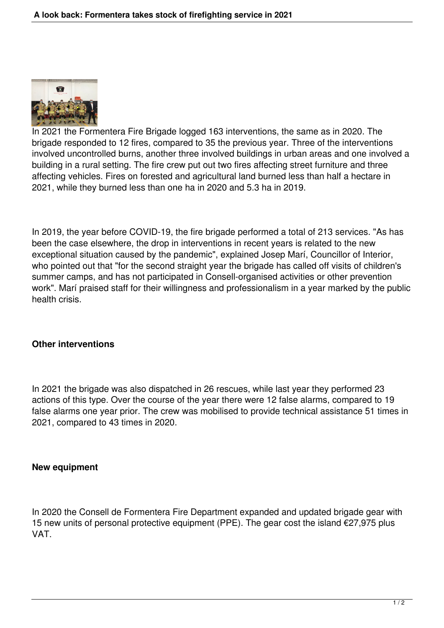

In 2021 the Formentera Fire Brigade logged 163 interventions, the same as in 2020. The brigade responded to 12 fires, compared to 35 the previous year. Three of the interventions involved uncontrolled burns, another three involved buildings in urban areas and one involved a building in a rural setting. The fire crew put out two fires affecting street furniture and three affecting vehicles. Fires on forested and agricultural land burned less than half a hectare in 2021, while they burned less than one ha in 2020 and 5.3 ha in 2019.

In 2019, the year before COVID-19, the fire brigade performed a total of 213 services. "As has been the case elsewhere, the drop in interventions in recent years is related to the new exceptional situation caused by the pandemic", explained Josep Marí, Councillor of Interior, who pointed out that "for the second straight year the brigade has called off visits of children's summer camps, and has not participated in Consell-organised activities or other prevention work". Marí praised staff for their willingness and professionalism in a year marked by the public health crisis.

## **Other interventions**

In 2021 the brigade was also dispatched in 26 rescues, while last year they performed 23 actions of this type. Over the course of the year there were 12 false alarms, compared to 19 false alarms one year prior. The crew was mobilised to provide technical assistance 51 times in 2021, compared to 43 times in 2020.

## **New equipment**

In 2020 the Consell de Formentera Fire Department expanded and updated brigade gear with 15 new units of personal protective equipment (PPE). The gear cost the island €27,975 plus VAT.